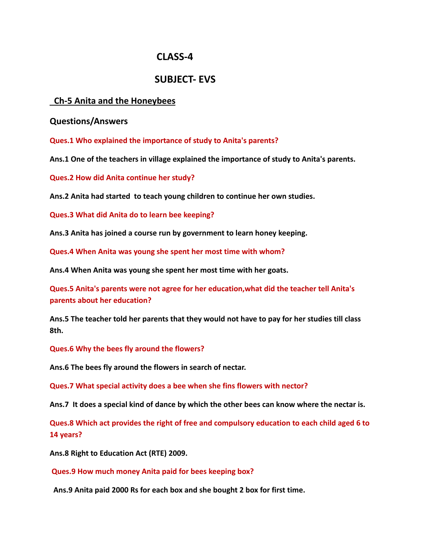# **CLASS-4**

# **SUBJECT- EVS**

# **Ch-5 Anita and the Honeybees**

### **Questions/Answers**

**Ques.1 Who explained the importance of study to Anita's parents?**

**Ans.1 One of the teachers in village explained the importance of study to Anita's parents.**

**Ques.2 How did Anita continue her study?**

**Ans.2 Anita had started to teach young children to continue her own studies.**

**Ques.3 What did Anita do to learn bee keeping?**

**Ans.3 Anita has joined a course run by government to learn honey keeping.**

**Ques.4 When Anita was young she spent her most time with whom?**

**Ans.4 When Anita was young she spent her most time with her goats.**

**Ques.5 Anita's parents were not agree for her education,what did the teacher tell Anita's parents about her education?**

**Ans.5 The teacher told her parents that they would not have to pay for her studies till class 8th.**

**Ques.6 Why the bees fly around the flowers?**

**Ans.6 The bees fly around the flowers in search of nectar.**

**Ques.7 What special activity does a bee when she fins flowers with nector?**

**Ans.7 It does a special kind of dance by which the other bees can know where the nectar is.**

**Ques.8 Which act provides the right of free and compulsory education to each child aged 6 to 14 years?**

**Ans.8 Right to Education Act (RTE) 2009.**

**Ques.9 How much money Anita paid for bees keeping box?**

**Ans.9 Anita paid 2000 Rs for each box and she bought 2 box for first time.**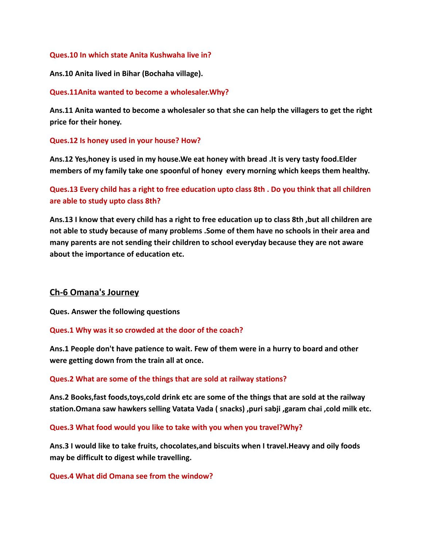#### **Ques.10 In which state Anita Kushwaha live in?**

**Ans.10 Anita lived in Bihar (Bochaha village).**

#### **Ques.11Anita wanted to become a wholesaler.Why?**

**Ans.11 Anita wanted to become a wholesaler so that she can help the villagers to get the right price for their honey.**

### **Ques.12 Is honey used in your house? How?**

**Ans.12 Yes,honey is used in my house.We eat honey with bread .It is very tasty food.Elder members of my family take one spoonful of honey every morning which keeps them healthy.**

**Ques.13 Every child has a right to free education upto class 8th . Do you think that all children are able to study upto class 8th?**

**Ans.13 I know that every child has a right to free education up to class 8th ,but all children are not able to study because of many problems .Some of them have no schools in their area and many parents are not sending their children to school everyday because they are not aware about the importance of education etc.**

## **Ch-6 Omana's Journey**

**Ques. Answer the following questions**

### **Ques.1 Why was it so crowded at the door of the coach?**

**Ans.1 People don't have patience to wait. Few of them were in a hurry to board and other were getting down from the train all at once.**

### **Ques.2 What are some of the things that are sold at railway stations?**

**Ans.2 Books,fast foods,toys,cold drink etc are some of the things that are sold at the railway station.Omana saw hawkers selling Vatata Vada ( snacks) ,puri sabji ,garam chai ,cold milk etc.**

**Ques.3 What food would you like to take with you when you travel?Why?**

**Ans.3 I would like to take fruits, chocolates,and biscuits when I travel.Heavy and oily foods may be difficult to digest while travelling.**

### **Ques.4 What did Omana see from the window?**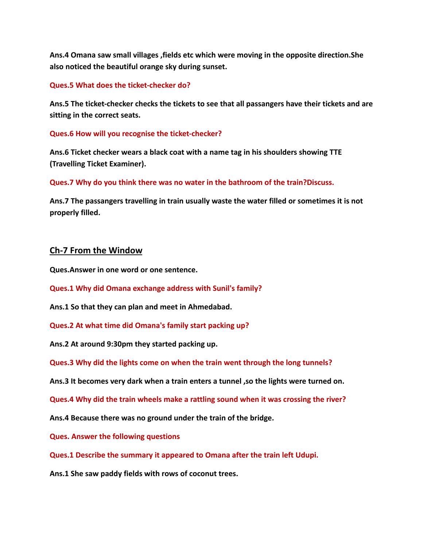**Ans.4 Omana saw small villages ,fields etc which were moving in the opposite direction.She also noticed the beautiful orange sky during sunset.**

#### **Ques.5 What does the ticket-checker do?**

**Ans.5 The ticket-checker checks the tickets to see that all passangers have their tickets and are sitting in the correct seats.**

#### **Ques.6 How will you recognise the ticket-checker?**

**Ans.6 Ticket checker wears a black coat with a name tag in his shoulders showing TTE (Travelling Ticket Examiner).**

**Ques.7 Why do you think there was no water in the bathroom of the train?Discuss.**

**Ans.7 The passangers travelling in train usually waste the water filled or sometimes it is not properly filled.**

### **Ch-7 From the Window**

**Ques.Answer in one word or one sentence.**

**Ques.1 Why did Omana exchange address with Sunil's family?**

**Ans.1 So that they can plan and meet in Ahmedabad.**

**Ques.2 At what time did Omana's family start packing up?**

**Ans.2 At around 9:30pm they started packing up.**

**Ques.3 Why did the lights come on when the train went through the long tunnels?**

**Ans.3 It becomes very dark when a train enters a tunnel ,so the lights were turned on.**

**Ques.4 Why did the train wheels make a rattling sound when it was crossing the river?**

**Ans.4 Because there was no ground under the train of the bridge.**

**Ques. Answer the following questions**

**Ques.1 Describe the summary it appeared to Omana after the train left Udupi.**

**Ans.1 She saw paddy fields with rows of coconut trees.**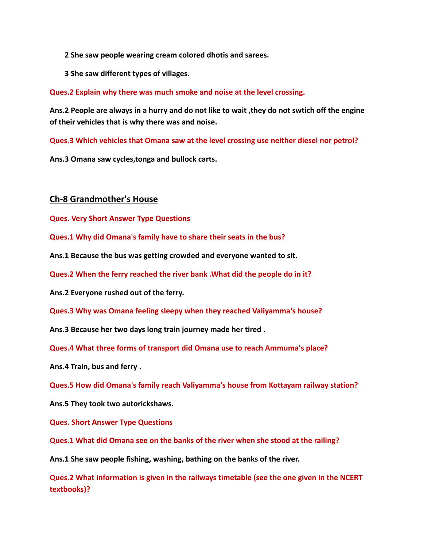- **2 She saw people wearing cream colored dhotis and sarees.**
- **3 She saw different types of villages.**

**Ques.2 Explain why there was much smoke and noise at the level crossing.**

**Ans.2 People are always in a hurry and do not like to wait ,they do not swtich off the engine of their vehicles that is why there was and noise.**

**Ques.3 Which vehicles that Omana saw at the level crossing use neither diesel nor petrol?**

**Ans.3 Omana saw cycles,tonga and bullock carts.**

### **Ch-8 Grandmother's House**

**Ques. Very Short Answer Type Questions**

**Ques.1 Why did Omana's family have to share their seats in the bus?**

**Ans.1 Because the bus was getting crowded and everyone wanted to sit.**

**Ques.2 When the ferry reached the river bank .What did the people do in it?**

**Ans.2 Everyone rushed out of the ferry.**

**Ques.3 Why was Omana feeling sleepy when they reached Valiyamma's house?**

**Ans.3 Because her two days long train journey made her tired .**

**Ques.4 What three forms of transport did Omana use to reach Ammuma's place?**

**Ans.4 Train, bus and ferry .**

**Ques.5 How did Omana's family reach Valiyamma's house from Kottayam railway station?**

**Ans.5 They took two autorickshaws.**

**Ques. Short Answer Type Questions**

**Ques.1 What did Omana see on the banks of the river when she stood at the railing?**

**Ans.1 She saw people fishing, washing, bathing on the banks of the river.**

**Ques.2 What information is given in the railways timetable (see the one given in the NCERT textbooks)?**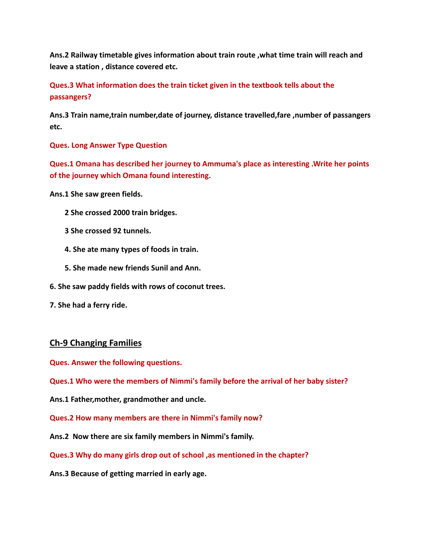**Ans.2 Railway timetable gives information about train route ,what time train will reach and leave a station , distance covered etc.**

**Ques.3 What information does the train ticket given in the textbook tells about the passangers?**

**Ans.3 Train name,train number,date of journey, distance travelled,fare ,number of passangers etc.**

**Ques. Long Answer Type Question**

**Ques.1 Omana has described her journey to Ammuma's place as interesting .Write her points of the journey which Omana found interesting.**

**Ans.1 She saw green fields.**

- **2 She crossed 2000 train bridges.**
- **3 She crossed 92 tunnels.**
- **4. She ate many types of foods in train.**
- **5. She made new friends Sunil and Ann.**
- **6. She saw paddy fields with rows of coconut trees.**
- **7. She had a ferry ride.**

### **Ch-9 Changing Families**

**Ques. Answer the following questions.**

**Ques.1 Who were the members of Nimmi's family before the arrival of her baby sister?**

**Ans.1 Father,mother, grandmother and uncle.**

**Ques.2 How many members are there in Nimmi's family now?**

**Ans.2 Now there are six family members in Nimmi's family.**

**Ques.3 Why do many girls drop out of school ,as mentioned in the chapter?**

**Ans.3 Because of getting married in early age.**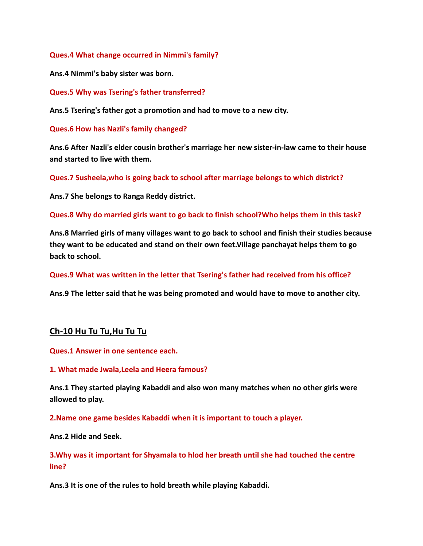**Ques.4 What change occurred in Nimmi's family?**

**Ans.4 Nimmi's baby sister was born.**

**Ques.5 Why was Tsering's father transferred?**

**Ans.5 Tsering's father got a promotion and had to move to a new city.**

**Ques.6 How has Nazli's family changed?**

**Ans.6 After Nazli's elder cousin brother's marriage her new sister-in-law came to their house and started to live with them.**

**Ques.7 Susheela,who is going back to school after marriage belongs to which district?**

**Ans.7 She belongs to Ranga Reddy district.**

**Ques.8 Why do married girls want to go back to finish school?Who helps them in this task?**

**Ans.8 Married girls of many villages want to go back to school and finish their studies because they want to be educated and stand on their own feet.Village panchayat helps them to go back to school.**

**Ques.9 What was written in the letter that Tsering's father had received from his office?**

**Ans.9 The letter said that he was being promoted and would have to move to another city.**

### **Ch-10 Hu Tu Tu,Hu Tu Tu**

**Ques.1 Answer in one sentence each.**

#### **1. What made Jwala,Leela and Heera famous?**

**Ans.1 They started playing Kabaddi and also won many matches when no other girls were allowed to play.**

**2.Name one game besides Kabaddi when it is important to touch a player.**

**Ans.2 Hide and Seek.**

**3.Why was it important for Shyamala to hlod her breath until she had touched the centre line?**

**Ans.3 It is one of the rules to hold breath while playing Kabaddi.**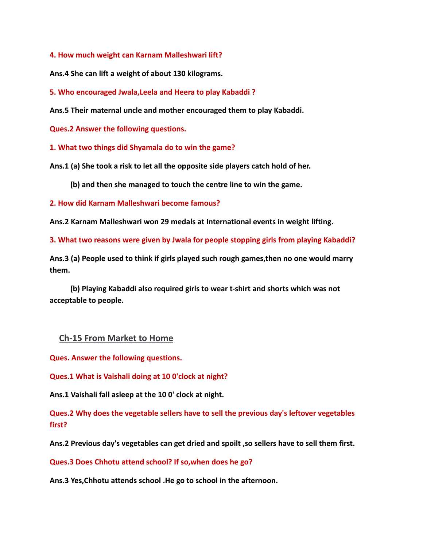**4. How much weight can Karnam Malleshwari lift?**

**Ans.4 She can lift a weight of about 130 kilograms.**

**5. Who encouraged Jwala,Leela and Heera to play Kabaddi ?**

**Ans.5 Their maternal uncle and mother encouraged them to play Kabaddi.**

**Ques.2 Answer the following questions.**

**1. What two things did Shyamala do to win the game?**

**Ans.1 (a) She took a risk to let all the opposite side players catch hold of her.**

**(b) and then she managed to touch the centre line to win the game.**

**2. How did Karnam Malleshwari become famous?**

**Ans.2 Karnam Malleshwari won 29 medals at International events in weight lifting.**

**3. What two reasons were given by Jwala for people stopping girls from playing Kabaddi?**

**Ans.3 (a) People used to think if girls played such rough games,then no one would marry them.**

**(b) Playing Kabaddi also required girls to wear t-shirt and shorts which was not acceptable to people.**

## **Ch-15 From Market to Home**

**Ques. Answer the following questions.**

**Ques.1 What is Vaishali doing at 10 0'clock at night?**

**Ans.1 Vaishali fall asleep at the 10 0' clock at night.**

**Ques.2 Why does the vegetable sellers have to sell the previous day's leftover vegetables first?**

**Ans.2 Previous day's vegetables can get dried and spoilt ,so sellers have to sell them first.**

**Ques.3 Does Chhotu attend school? If so,when does he go?**

**Ans.3 Yes,Chhotu attends school .He go to school in the afternoon.**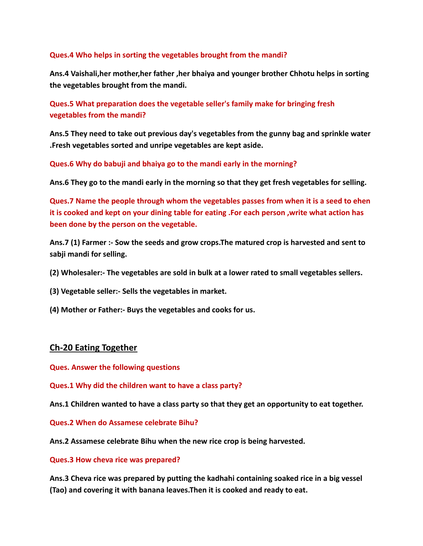### **Ques.4 Who helps in sorting the vegetables brought from the mandi?**

**Ans.4 Vaishali,her mother,her father ,her bhaiya and younger brother Chhotu helps in sorting the vegetables brought from the mandi.**

**Ques.5 What preparation does the vegetable seller's family make for bringing fresh vegetables from the mandi?**

**Ans.5 They need to take out previous day's vegetables from the gunny bag and sprinkle water .Fresh vegetables sorted and unripe vegetables are kept aside.**

**Ques.6 Why do babuji and bhaiya go to the mandi early in the morning?**

**Ans.6 They go to the mandi early in the morning so that they get fresh vegetables for selling.**

**Ques.7 Name the people through whom the vegetables passes from when it is a seed to ehen it is cooked and kept on your dining table for eating .For each person ,write what action has been done by the person on the vegetable.**

**Ans.7 (1) Farmer :- Sow the seeds and grow crops.The matured crop is harvested and sent to sabji mandi for selling.**

- **(2) Wholesaler:- The vegetables are sold in bulk at a lower rated to small vegetables sellers.**
- **(3) Vegetable seller:- Sells the vegetables in market.**
- **(4) Mother or Father:- Buys the vegetables and cooks for us.**

### **Ch-20 Eating Together**

**Ques. Answer the following questions**

**Ques.1 Why did the children want to have a class party?**

**Ans.1 Children wanted to have a class party so that they get an opportunity to eat together.**

**Ques.2 When do Assamese celebrate Bihu?**

**Ans.2 Assamese celebrate Bihu when the new rice crop is being harvested.**

#### **Ques.3 How cheva rice was prepared?**

**Ans.3 Cheva rice was prepared by putting the kadhahi containing soaked rice in a big vessel (Tao) and covering it with banana leaves.Then it is cooked and ready to eat.**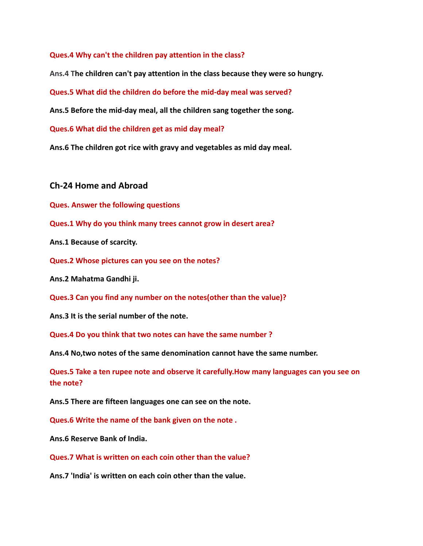**Ques.4 Why can't the children pay attention in the class?**

**Ans.4 The children can't pay attention in the class because they were so hungry.**

**Ques.5 What did the children do before the mid-day meal was served?**

**Ans.5 Before the mid-day meal, all the children sang together the song.**

**Ques.6 What did the children get as mid day meal?**

**Ans.6 The children got rice with gravy and vegetables as mid day meal.**

#### **Ch-24 Home and Abroad**

**Ques. Answer the following questions**

**Ques.1 Why do you think many trees cannot grow in desert area?**

**Ans.1 Because of scarcity.**

**Ques.2 Whose pictures can you see on the notes?**

**Ans.2 Mahatma Gandhi ji.**

**Ques.3 Can you find any number on the notes(other than the value)?**

**Ans.3 It is the serial number of the note.**

**Ques.4 Do you think that two notes can have the same number ?**

**Ans.4 No,two notes of the same denomination cannot have the same number.**

**Ques.5 Take a ten rupee note and observe it carefully.How many languages can you see on the note?**

**Ans.5 There are fifteen languages one can see on the note.**

**Ques.6 Write the name of the bank given on the note .**

**Ans.6 Reserve Bank of India.**

**Ques.7 What is written on each coin other than the value?**

**Ans.7 'India' is written on each coin other than the value.**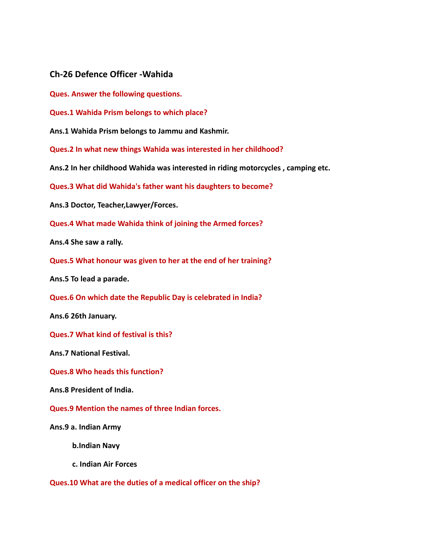### **Ch-26 Defence Officer -Wahida**

**Ques. Answer the following questions.**

**Ques.1 Wahida Prism belongs to which place?**

**Ans.1 Wahida Prism belongs to Jammu and Kashmir.**

**Ques.2 In what new things Wahida was interested in her childhood?**

**Ans.2 In her childhood Wahida was interested in riding motorcycles , camping etc.**

**Ques.3 What did Wahida's father want his daughters to become?**

**Ans.3 Doctor, Teacher,Lawyer/Forces.**

**Ques.4 What made Wahida think of joining the Armed forces?**

**Ans.4 She saw a rally.**

**Ques.5 What honour was given to her at the end of her training?**

**Ans.5 To lead a parade.**

**Ques.6 On which date the Republic Day is celebrated in India?**

**Ans.6 26th January.**

**Ques.7 What kind of festival is this?**

**Ans.7 National Festival.**

**Ques.8 Who heads this function?**

**Ans.8 President of India.**

**Ques.9 Mention the names of three Indian forces.**

**Ans.9 a. Indian Army**

**b.Indian Navy**

**c. Indian Air Forces**

**Ques.10 What are the duties of a medical officer on the ship?**